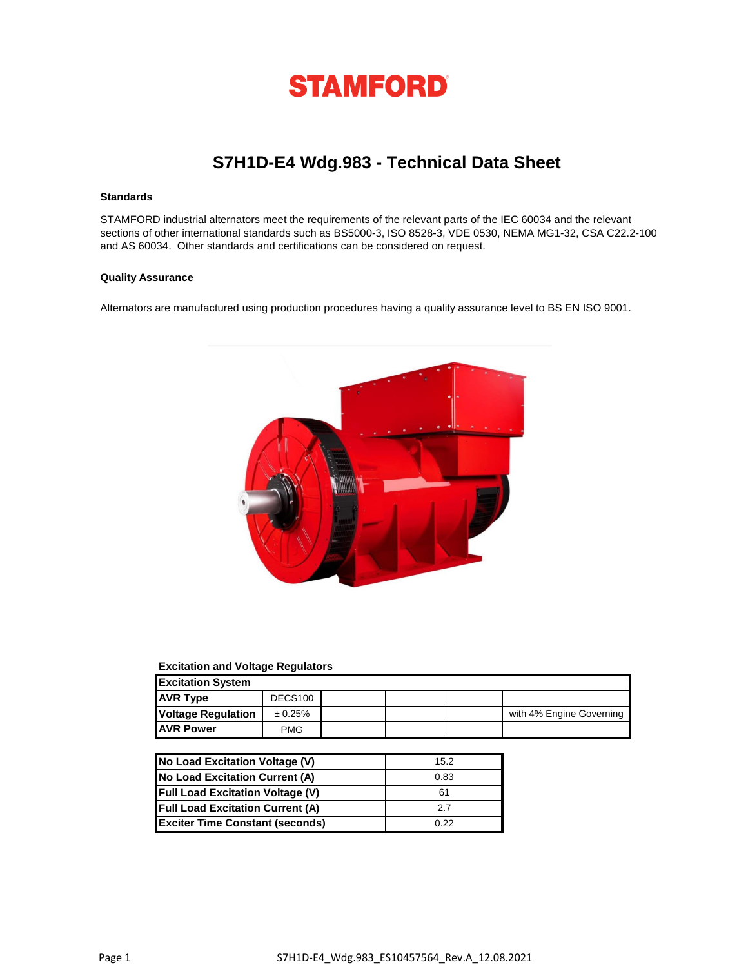

# **S7H1D-E4 Wdg.983 - Technical Data Sheet**

### **Standards**

STAMFORD industrial alternators meet the requirements of the relevant parts of the IEC 60034 and the relevant sections of other international standards such as BS5000-3, ISO 8528-3, VDE 0530, NEMA MG1-32, CSA C22.2-100 and AS 60034. Other standards and certifications can be considered on request.

#### **Quality Assurance**

Alternators are manufactured using production procedures having a quality assurance level to BS EN ISO 9001.



### **Excitation and Voltage Regulators**

| <b>Excitation System</b>  |                     |  |  |  |                          |  |
|---------------------------|---------------------|--|--|--|--------------------------|--|
| <b>AVR Type</b>           | DECS <sub>100</sub> |  |  |  |                          |  |
| <b>Voltage Regulation</b> | ± 0.25%             |  |  |  | with 4% Engine Governing |  |
| <b>AVR Power</b>          | <b>PMG</b>          |  |  |  |                          |  |

| No Load Excitation Voltage (V)          | 15.2 |
|-----------------------------------------|------|
| No Load Excitation Current (A)          | 0.83 |
| <b>Full Load Excitation Voltage (V)</b> | 61   |
| <b>Full Load Excitation Current (A)</b> | 27   |
| <b>Exciter Time Constant (seconds)</b>  | 0.22 |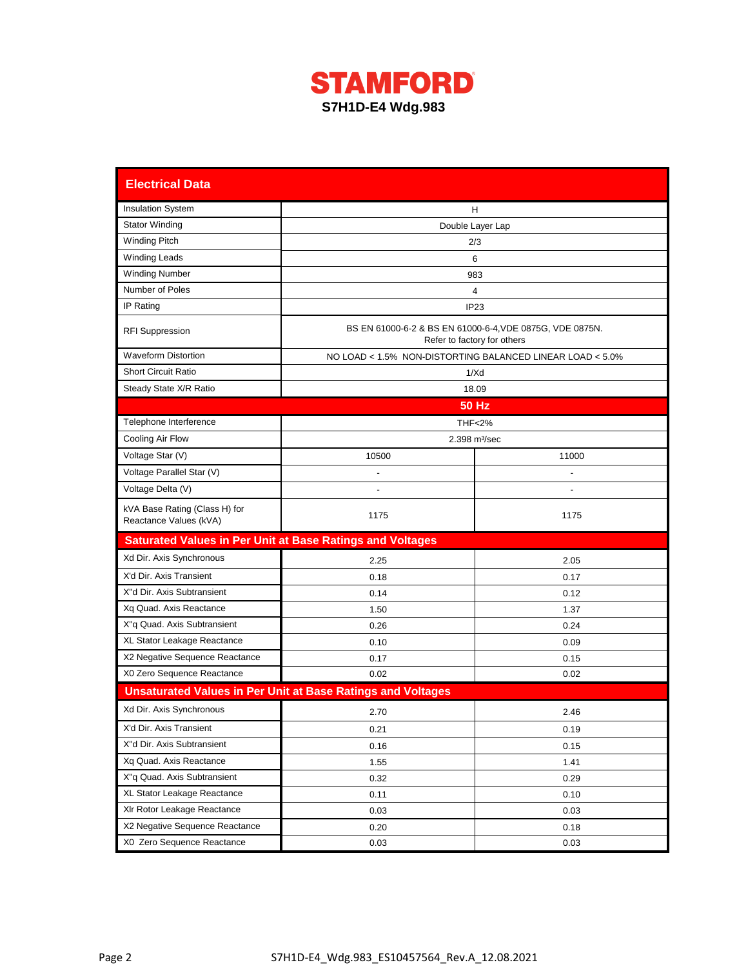

| <b>Electrical Data</b>                                           |                                                                    |                                                                                         |  |  |  |  |  |
|------------------------------------------------------------------|--------------------------------------------------------------------|-----------------------------------------------------------------------------------------|--|--|--|--|--|
| <b>Insulation System</b>                                         |                                                                    | н                                                                                       |  |  |  |  |  |
| <b>Stator Winding</b>                                            | Double Layer Lap                                                   |                                                                                         |  |  |  |  |  |
| <b>Winding Pitch</b>                                             |                                                                    | 2/3                                                                                     |  |  |  |  |  |
| <b>Winding Leads</b>                                             |                                                                    | 6                                                                                       |  |  |  |  |  |
| <b>Winding Number</b>                                            |                                                                    | 983                                                                                     |  |  |  |  |  |
| Number of Poles                                                  |                                                                    | 4                                                                                       |  |  |  |  |  |
| IP Rating                                                        |                                                                    | IP <sub>23</sub>                                                                        |  |  |  |  |  |
| <b>RFI Suppression</b>                                           |                                                                    | BS EN 61000-6-2 & BS EN 61000-6-4, VDE 0875G, VDE 0875N.<br>Refer to factory for others |  |  |  |  |  |
| <b>Waveform Distortion</b>                                       |                                                                    | NO LOAD < 1.5% NON-DISTORTING BALANCED LINEAR LOAD < 5.0%                               |  |  |  |  |  |
| <b>Short Circuit Ratio</b>                                       |                                                                    | 1/Xd                                                                                    |  |  |  |  |  |
| Steady State X/R Ratio                                           |                                                                    | 18.09                                                                                   |  |  |  |  |  |
|                                                                  |                                                                    | <b>50 Hz</b>                                                                            |  |  |  |  |  |
| Telephone Interference                                           |                                                                    | <b>THF&lt;2%</b>                                                                        |  |  |  |  |  |
| Cooling Air Flow                                                 |                                                                    | 2.398 m <sup>3</sup> /sec                                                               |  |  |  |  |  |
| Voltage Star (V)                                                 | 10500                                                              | 11000                                                                                   |  |  |  |  |  |
| Voltage Parallel Star (V)                                        | $\overline{a}$                                                     |                                                                                         |  |  |  |  |  |
| Voltage Delta (V)                                                |                                                                    |                                                                                         |  |  |  |  |  |
| kVA Base Rating (Class H) for<br>Reactance Values (kVA)          | 1175                                                               | 1175                                                                                    |  |  |  |  |  |
| <b>Saturated Values in Per Unit at Base Ratings and Voltages</b> |                                                                    |                                                                                         |  |  |  |  |  |
| Xd Dir. Axis Synchronous                                         | 2.25                                                               | 2.05                                                                                    |  |  |  |  |  |
| X'd Dir. Axis Transient                                          | 0.18                                                               | 0.17                                                                                    |  |  |  |  |  |
| X"d Dir. Axis Subtransient                                       | 0.14                                                               | 0.12                                                                                    |  |  |  |  |  |
| Xq Quad. Axis Reactance                                          | 1.50                                                               | 1.37                                                                                    |  |  |  |  |  |
| X"q Quad. Axis Subtransient                                      | 0.26                                                               | 0.24                                                                                    |  |  |  |  |  |
| XL Stator Leakage Reactance                                      | 0.10                                                               | 0.09                                                                                    |  |  |  |  |  |
| X2 Negative Sequence Reactance                                   | 0.17                                                               | 0.15                                                                                    |  |  |  |  |  |
| X0 Zero Sequence Reactance                                       | 0.02                                                               | 0.02                                                                                    |  |  |  |  |  |
|                                                                  | <b>Unsaturated Values in Per Unit at Base Ratings and Voltages</b> |                                                                                         |  |  |  |  |  |
| Xd Dir. Axis Synchronous                                         | 2.70                                                               | 2.46                                                                                    |  |  |  |  |  |
| X'd Dir. Axis Transient                                          | 0.21                                                               | 0.19                                                                                    |  |  |  |  |  |
| X"d Dir. Axis Subtransient                                       | 0.16                                                               | 0.15                                                                                    |  |  |  |  |  |
| Xq Quad. Axis Reactance                                          | 1.55                                                               | 1.41                                                                                    |  |  |  |  |  |
| X"q Quad. Axis Subtransient                                      | 0.32                                                               | 0.29                                                                                    |  |  |  |  |  |
| XL Stator Leakage Reactance                                      | 0.11                                                               | 0.10                                                                                    |  |  |  |  |  |
| XIr Rotor Leakage Reactance                                      | 0.03                                                               | 0.03                                                                                    |  |  |  |  |  |
| X2 Negative Sequence Reactance                                   | 0.20                                                               | 0.18                                                                                    |  |  |  |  |  |
| X0 Zero Sequence Reactance                                       | 0.03                                                               | 0.03                                                                                    |  |  |  |  |  |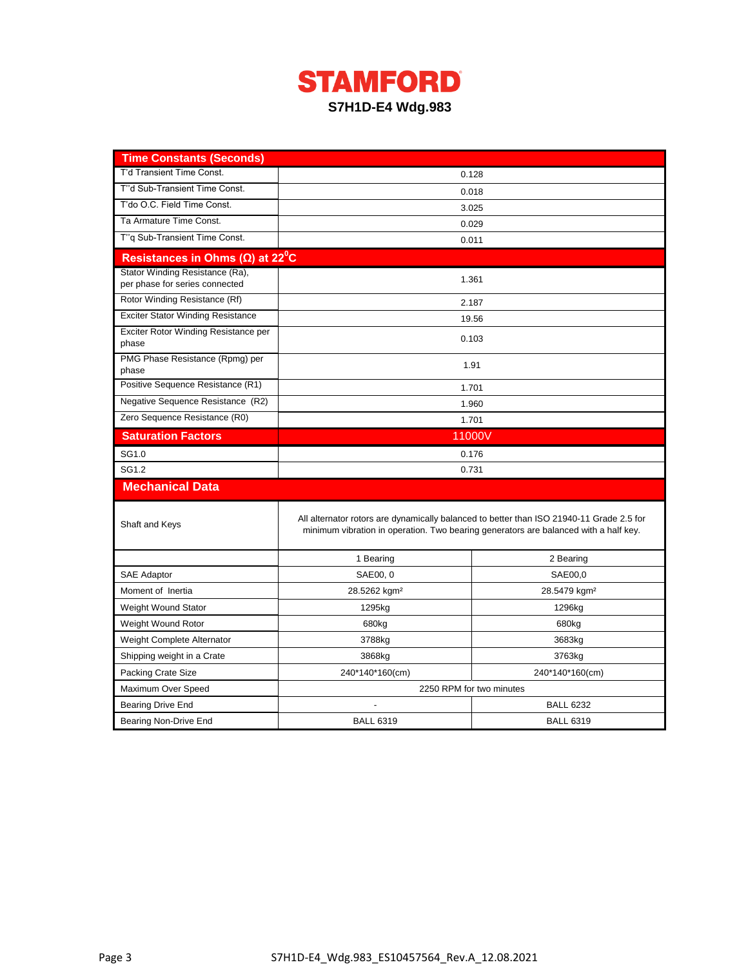

| <b>Time Constants (Seconds)</b>                                   |                                                                                      |                                                                                          |  |  |  |
|-------------------------------------------------------------------|--------------------------------------------------------------------------------------|------------------------------------------------------------------------------------------|--|--|--|
| T'd Transient Time Const.                                         |                                                                                      | 0.128                                                                                    |  |  |  |
| T"d Sub-Transient Time Const.                                     | 0.018                                                                                |                                                                                          |  |  |  |
| T'do O.C. Field Time Const.                                       | 3.025                                                                                |                                                                                          |  |  |  |
| Ta Armature Time Const.                                           | 0.029                                                                                |                                                                                          |  |  |  |
| T"q Sub-Transient Time Const.                                     | 0.011                                                                                |                                                                                          |  |  |  |
| Resistances in Ohms ( $\Omega$ ) at 22 <sup>°</sup> C             |                                                                                      |                                                                                          |  |  |  |
| Stator Winding Resistance (Ra),<br>per phase for series connected | 1.361                                                                                |                                                                                          |  |  |  |
| Rotor Winding Resistance (Rf)                                     | 2.187                                                                                |                                                                                          |  |  |  |
| <b>Exciter Stator Winding Resistance</b>                          |                                                                                      | 19.56                                                                                    |  |  |  |
| Exciter Rotor Winding Resistance per<br>phase                     |                                                                                      | 0.103                                                                                    |  |  |  |
| PMG Phase Resistance (Rpmg) per<br>phase                          | 1.91                                                                                 |                                                                                          |  |  |  |
| Positive Sequence Resistance (R1)                                 | 1.701                                                                                |                                                                                          |  |  |  |
| Negative Sequence Resistance (R2)                                 | 1.960                                                                                |                                                                                          |  |  |  |
| Zero Sequence Resistance (R0)                                     | 1.701                                                                                |                                                                                          |  |  |  |
| <b>Saturation Factors</b>                                         | 11000V                                                                               |                                                                                          |  |  |  |
| SG1.0                                                             | 0.176                                                                                |                                                                                          |  |  |  |
| SG1.2                                                             | 0.731                                                                                |                                                                                          |  |  |  |
| <b>Mechanical Data</b>                                            |                                                                                      |                                                                                          |  |  |  |
| Shaft and Keys                                                    | minimum vibration in operation. Two bearing generators are balanced with a half key. | All alternator rotors are dynamically balanced to better than ISO 21940-11 Grade 2.5 for |  |  |  |
|                                                                   | 1 Bearing                                                                            | 2 Bearing                                                                                |  |  |  |
| SAE Adaptor                                                       | SAE00, 0                                                                             | SAE00,0                                                                                  |  |  |  |
| Moment of Inertia                                                 | 28.5262 kgm <sup>2</sup>                                                             | 28.5479 kgm <sup>2</sup>                                                                 |  |  |  |
| <b>Weight Wound Stator</b>                                        | 1295kg                                                                               | 1296kg                                                                                   |  |  |  |
| Weight Wound Rotor                                                | 680kg                                                                                | 680kg                                                                                    |  |  |  |
| Weight Complete Alternator                                        | 3788kg                                                                               | 3683kg                                                                                   |  |  |  |
| Shipping weight in a Crate                                        | 3868kg                                                                               | 3763kg                                                                                   |  |  |  |
| <b>Packing Crate Size</b>                                         | 240*140*160(cm)                                                                      | 240*140*160(cm)                                                                          |  |  |  |
| Maximum Over Speed                                                | 2250 RPM for two minutes                                                             |                                                                                          |  |  |  |
| Bearing Drive End                                                 |                                                                                      | <b>BALL 6232</b>                                                                         |  |  |  |
| Bearing Non-Drive End                                             | <b>BALL 6319</b>                                                                     | <b>BALL 6319</b>                                                                         |  |  |  |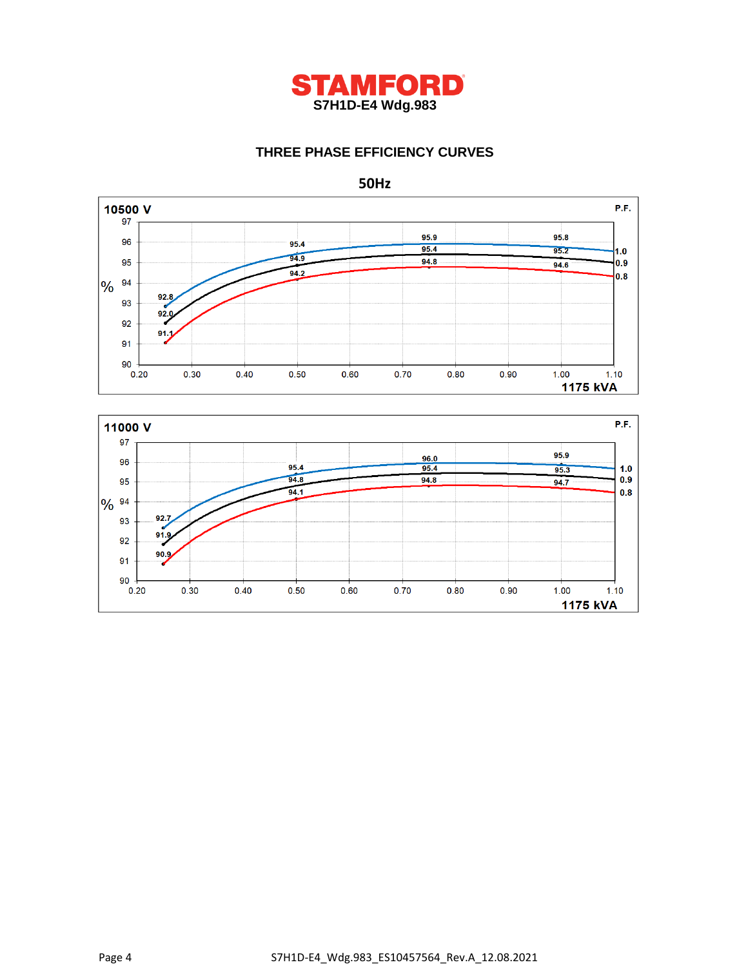

# **THREE PHASE EFFICIENCY CURVES**



P.F. 11000 V 97 95.9  $96.0$ 96 95.4  $95.4$  $95.3$  $1.0$  $94.8$  $0.9$ 95  $94.8$  $94.7$  $94.1$  $0.8$ 9% 94  $\frac{92.7}{2}$ 93  $91.9$ 92  $90.9$ 91 90  $0.20$  $0.30$  $0.40$  $0.50$  $0.60$  $0.70$  $0.80$  $0.90$  $1.00$  $1.10$ 1175 kVA

**50Hz**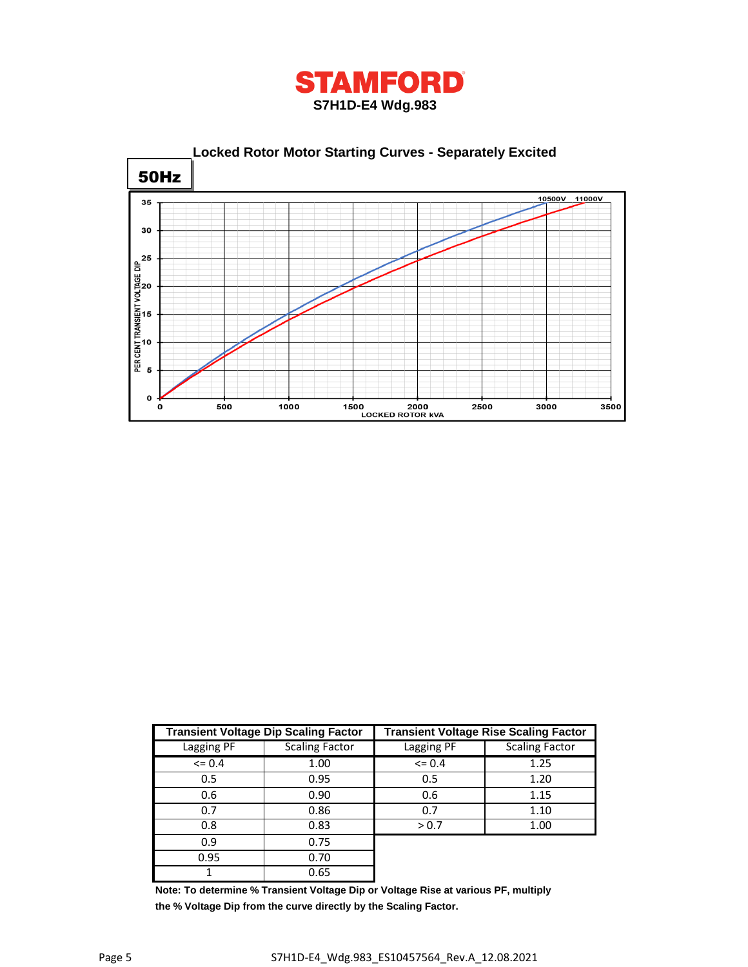



|            | <b>Transient Voltage Dip Scaling Factor</b> | <b>Transient Voltage Rise Scaling Factor</b> |                       |  |  |
|------------|---------------------------------------------|----------------------------------------------|-----------------------|--|--|
| Lagging PF | <b>Scaling Factor</b>                       | Lagging PF                                   | <b>Scaling Factor</b> |  |  |
| $\leq$ 0.4 | 1.00                                        | $\leq$ 0.4                                   | 1.25                  |  |  |
| 0.5        | 0.95<br>0.5                                 |                                              | 1.20                  |  |  |
| 0.6        | 0.90                                        | 0.6                                          | 1.15                  |  |  |
| 0.7        | 0.86                                        | 0.7                                          | 1.10                  |  |  |
| 0.8        | 0.83                                        | > 0.7                                        | 1.00                  |  |  |
| 0.9        | 0.75                                        |                                              |                       |  |  |
| 0.95       | 0.70                                        |                                              |                       |  |  |
|            | 0.65                                        |                                              |                       |  |  |

**Note: To determine % Transient Voltage Dip or Voltage Rise at various PF, multiply the % Voltage Dip from the curve directly by the Scaling Factor.**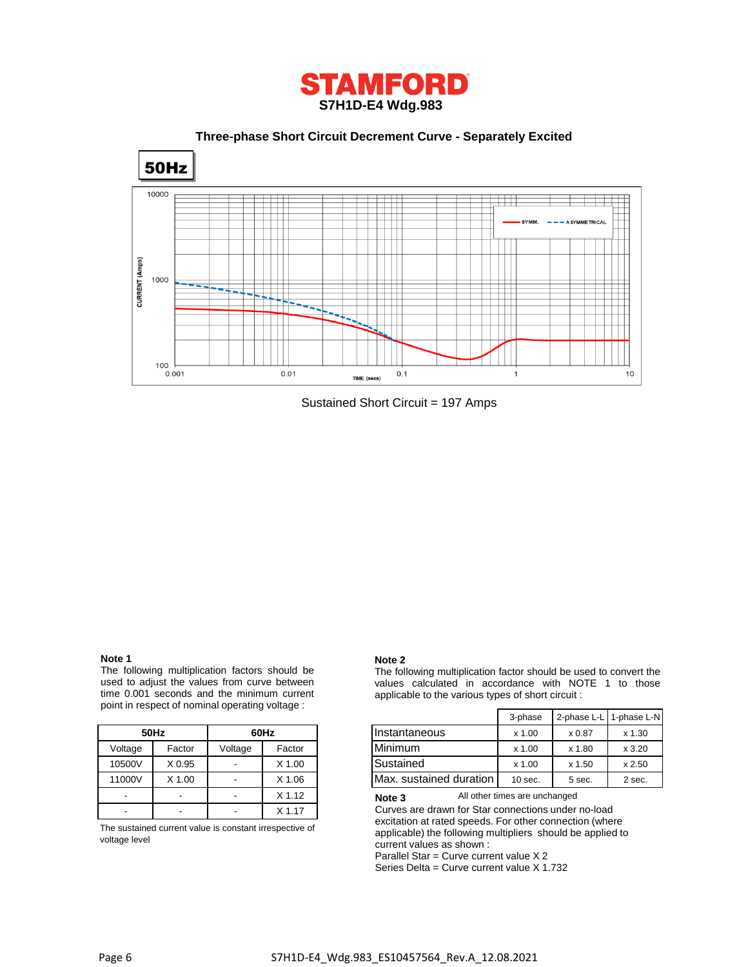

 **Three-phase Short Circuit Decrement Curve - Separately Excited**



Sustained Short Circuit = 197 Amps

## **Note 1**

The following multiplication factors should be used to adjust the values from curve between time 0.001 seconds and the minimum current point in respect of nominal operating voltage :

|         | 50Hz              | 60Hz    |          |  |
|---------|-------------------|---------|----------|--|
| Voltage | Factor            | Voltage | Factor   |  |
| 10500V  | X <sub>0.95</sub> |         | $X$ 1.00 |  |
| 11000V  | $X$ 1.00          |         | $X$ 1.06 |  |
|         |                   |         | $X$ 1.12 |  |
|         |                   |         | $X$ 1.17 |  |

The sustained current value is constant irrespective of voltage level

#### **Note 2**

The following multiplication factor should be used to convert the values calculated in accordance with NOTE 1 to those applicable to the various types of short circuit :

|         |        |         |          |                         | 3-phase   |        | 2-phase L-L 1-phase L-N |
|---------|--------|---------|----------|-------------------------|-----------|--------|-------------------------|
|         | 50Hz   |         | 60Hz     | Instantaneous           | $x$ 1.00  | x 0.87 | $x$ 1.30                |
| Voltage | Factor | Voltage | Factor   | Minimum                 | $x$ 1.00  | x 1.80 | x3.20                   |
| 10500V  | X 0.95 |         | $X$ 1.00 | Sustained               | $x$ 1.00  | x 1.50 | x 2.50                  |
| 11000V  | X 1.00 |         | X 1.06   | Max. sustained duration | $10$ sec. | 5 sec. | 2 sec.                  |

All other times are unchanged **Note 3**

Curves are drawn for Star connections under no-load excitation at rated speeds. For other connection (where applicable) the following multipliers should be applied to current values as shown :

Parallel Star = Curve current value X 2

Series Delta = Curve current value X 1.732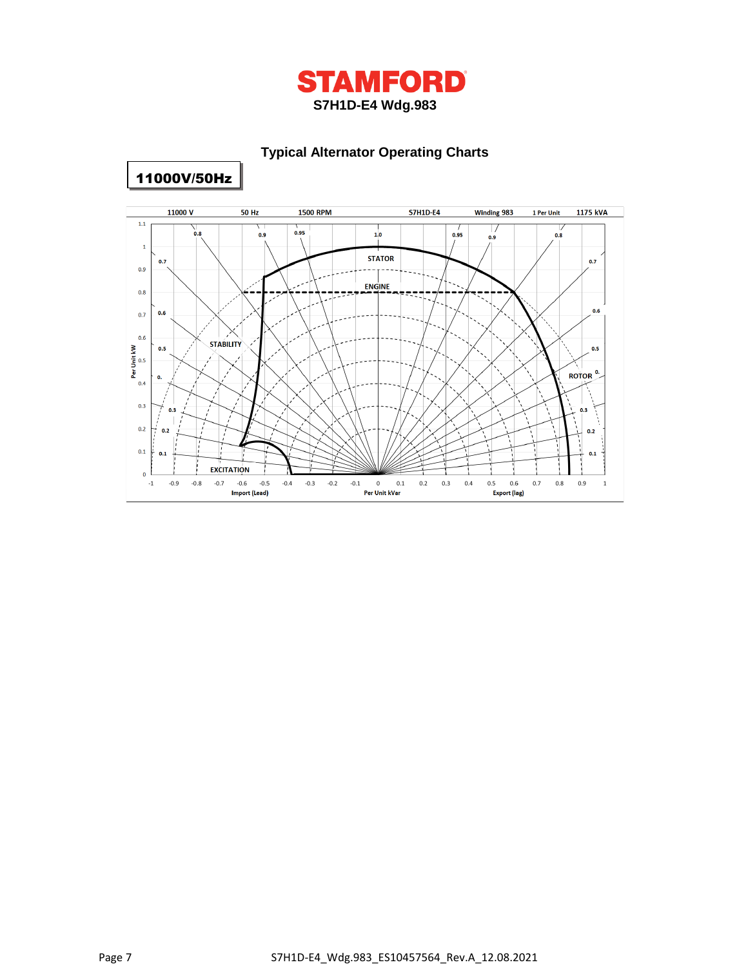

# **Typical Alternator Operating Charts**



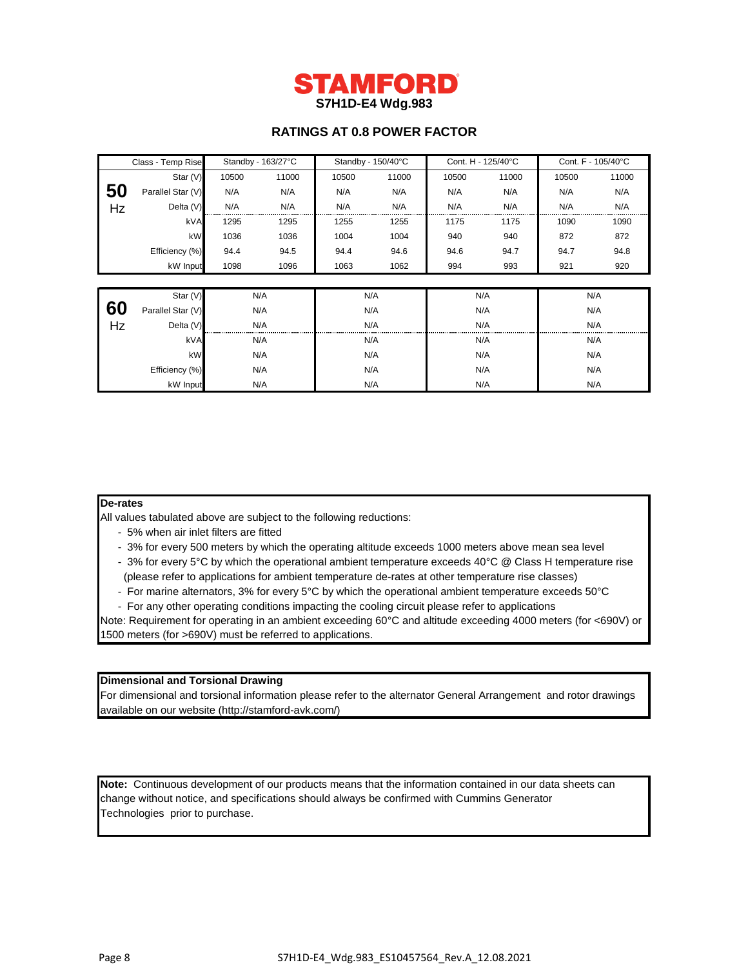

# **RATINGS AT 0.8 POWER FACTOR**

| Class - Temp Rise |                   | Standby - 163/27°C |       | Standby - 150/40°C |       | Cont. H - 125/40°C |       | Cont. F - 105/40°C |       |
|-------------------|-------------------|--------------------|-------|--------------------|-------|--------------------|-------|--------------------|-------|
|                   | Star (V)          | 10500              | 11000 | 10500              | 11000 | 10500              | 11000 | 10500              | 11000 |
| 50                | Parallel Star (V) | N/A                | N/A   | N/A                | N/A   | N/A                | N/A   | N/A                | N/A   |
| Hz                | Delta (V)         | N/A                | N/A   | N/A                | N/A   | N/A                | N/A   | N/A                | N/A   |
|                   | kVA               | 1295               | 1295  | 1255               | 1255  | 1175               | 1175  | 1090               | 1090  |
|                   | kW                | 1036               | 1036  | 1004               | 1004  | 940                | 940   | 872                | 872   |
|                   | Efficiency (%)    | 94.4               | 94.5  | 94.4               | 94.6  | 94.6               | 94.7  | 94.7               | 94.8  |
|                   | kW Input          | 1098               | 1096  | 1063               | 1062  | 994                | 993   | 921                | 920   |
|                   |                   |                    |       |                    |       |                    |       |                    |       |
|                   | Star (V)          |                    | N/A   | N/A                |       | N/A                |       |                    | N/A   |
| 60                | Parallel Star (V) |                    | N/A   | N/A                |       | N/A                |       | N/A                |       |
| Hz                | Delta (V)         |                    | N/A   | N/A                |       | N/A                |       | N/A                |       |
|                   | kVA               | N/A                |       | N/A                |       | N/A                |       | N/A                |       |
|                   | kW                |                    | N/A   |                    | N/A   |                    | N/A   |                    | N/A   |
|                   | Efficiency (%)    | N/A                |       | N/A                |       | N/A                |       | N/A                |       |
|                   | N/A<br>kW Input   |                    | N/A   |                    | N/A   |                    | N/A   |                    |       |

### **De-rates**

All values tabulated above are subject to the following reductions:

- 5% when air inlet filters are fitted
- 3% for every 500 meters by which the operating altitude exceeds 1000 meters above mean sea level
- 3% for every 5°C by which the operational ambient temperature exceeds 40°C @ Class H temperature rise (please refer to applications for ambient temperature de-rates at other temperature rise classes)
- For marine alternators, 3% for every 5°C by which the operational ambient temperature exceeds 50°C
- For any other operating conditions impacting the cooling circuit please refer to applications
- Note: Requirement for operating in an ambient exceeding 60°C and altitude exceeding 4000 meters (for <690V) or 1500 meters (for >690V) must be referred to applications.

#### **Dimensional and Torsional Drawing**

For dimensional and torsional information please refer to the alternator General Arrangement and rotor drawings available on our website (http://stamford-avk.com/)

**Note:** Continuous development of our products means that the information contained in our data sheets can change without notice, and specifications should always be confirmed with Cummins Generator Technologies prior to purchase.